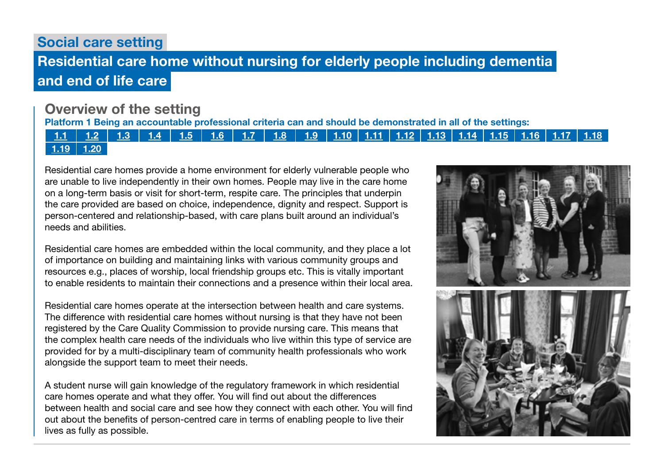Social care setting

# Residential care home without nursing for elderly people including dementia and end of life care

## Overview of the setting

Platform 1 Being an accountable professional criteria can and should be demonstrated in all of the settings:

[1.1](https://www.skillsforcare.org.uk/Documents/Learning-and-development/Regulated-professionals/Registered-nurses/Future-nursing-proficiencies/future-nurse-proficiencies.pdf#page=8) | [1.2](https://www.skillsforcare.org.uk/Documents/Learning-and-development/Regulated-professionals/Registered-nurses/Future-nursing-proficiencies/future-nurse-proficiencies.pdf#page=8) | [1.3](https://www.skillsforcare.org.uk/Documents/Learning-and-development/Regulated-professionals/Registered-nurses/Future-nursing-proficiencies/future-nurse-proficiencies.pdf#page=8) | [1.4](https://www.skillsforcare.org.uk/Documents/Learning-and-development/Regulated-professionals/Registered-nurses/Future-nursing-proficiencies/future-nurse-proficiencies.pdf#page=8) | [1.5](https://www.skillsforcare.org.uk/Documents/Learning-and-development/Regulated-professionals/Registered-nurses/Future-nursing-proficiencies/future-nurse-proficiencies.pdf#page=8) | [1.6](https://www.skillsforcare.org.uk/Documents/Learning-and-development/Regulated-professionals/Registered-nurses/Future-nursing-proficiencies/future-nurse-proficiencies.pdf#page=8) | [1.7](https://www.skillsforcare.org.uk/Documents/Learning-and-development/Regulated-professionals/Registered-nurses/Future-nursing-proficiencies/future-nurse-proficiencies.pdf#page=8) | [1.8](https://www.skillsforcare.org.uk/Documents/Learning-and-development/Regulated-professionals/Registered-nurses/Future-nursing-proficiencies/future-nurse-proficiencies.pdf#page=8) | [1.9](https://www.skillsforcare.org.uk/Documents/Learning-and-development/Regulated-professionals/Registered-nurses/Future-nursing-proficiencies/future-nurse-proficiencies.pdf#page=8) | [1.10](https://www.skillsforcare.org.uk/Documents/Learning-and-development/Regulated-professionals/Registered-nurses/Future-nursing-proficiencies/future-nurse-proficiencies.pdf#page=9) | [1.11](https://www.skillsforcare.org.uk/Documents/Learning-and-development/Regulated-professionals/Registered-nurses/Future-nursing-proficiencies/future-nurse-proficiencies.pdf#page=9) | [1.12](https://www.skillsforcare.org.uk/Documents/Learning-and-development/Regulated-professionals/Registered-nurses/Future-nursing-proficiencies/future-nurse-proficiencies.pdf#page=9) | [1.13](https://www.skillsforcare.org.uk/Documents/Learning-and-development/Regulated-professionals/Registered-nurses/Future-nursing-proficiencies/future-nurse-proficiencies.pdf#page=9) | [1.14](https://www.skillsforcare.org.uk/Documents/Learning-and-development/Regulated-professionals/Registered-nurses/Future-nursing-proficiencies/future-nurse-proficiencies.pdf#page=9) | [1.15](https://www.skillsforcare.org.uk/Documents/Learning-and-development/Regulated-professionals/Registered-nurses/Future-nursing-proficiencies/future-nurse-proficiencies.pdf#page=9) | [1.16](https://www.skillsforcare.org.uk/Documents/Learning-and-development/Regulated-professionals/Registered-nurses/Future-nursing-proficiencies/future-nurse-proficiencies.pdf#page=9) | [1.17](https://www.skillsforcare.org.uk/Documents/Learning-and-development/Regulated-professionals/Registered-nurses/Future-nursing-proficiencies/future-nurse-proficiencies.pdf#page=9) | [1.18](https://www.skillsforcare.org.uk/Documents/Learning-and-development/Regulated-professionals/Registered-nurses/Future-nursing-proficiencies/future-nurse-proficiencies.pdf#page=9)  $1.19$  [1.20](https://www.skillsforcare.org.uk/Documents/Learning-and-development/Regulated-professionals/Registered-nurses/Future-nursing-proficiencies/future-nurse-proficiencies.pdf#page=9)

Residential care homes provide a home environment for elderly vulnerable people who are unable to live independently in their own homes. People may live in the care home on a long-term basis or visit for short-term, respite care. The principles that underpin the care provided are based on choice, independence, dignity and respect. Support is person-centered and relationship-based, with care plans built around an individual's needs and abilities.

Residential care homes are embedded within the local community, and they place a lot of importance on building and maintaining links with various community groups and resources e.g., places of worship, local friendship groups etc. This is vitally important to enable residents to maintain their connections and a presence within their local area.

Residential care homes operate at the intersection between health and care systems. The difference with residential care homes without nursing is that they have not been registered by the Care Quality Commission to provide nursing care. This means that the complex health care needs of the individuals who live within this type of service are provided for by a multi-disciplinary team of community health professionals who work alongside the support team to meet their needs.

A student nurse will gain knowledge of the regulatory framework in which residential care homes operate and what they offer. You will find out about the differences between health and social care and see how they connect with each other. You will find out about the benefits of person-centred care in terms of enabling people to live their lives as fully as possible.

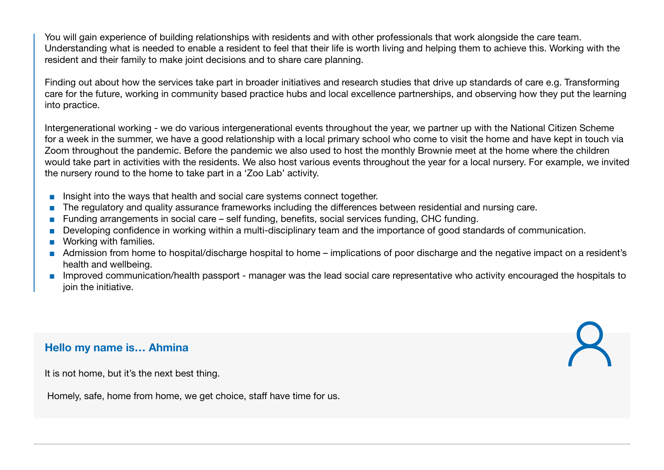You will gain experience of building relationships with residents and with other professionals that work alongside the care team. Understanding what is needed to enable a resident to feel that their life is worth living and helping them to achieve this. Working with the resident and their family to make joint decisions and to share care planning.

Finding out about how the services take part in broader initiatives and research studies that drive up standards of care e.g. Transforming care for the future, working in community based practice hubs and local excellence partnerships, and observing how they put the learning into practice.

Intergenerational working - we do various intergenerational events throughout the year, we partner up with the National Citizen Scheme for a week in the summer, we have a good relationship with a local primary school who come to visit the home and have kept in touch via Zoom throughout the pandemic. Before the pandemic we also used to host the monthly Brownie meet at the home where the children would take part in activities with the residents. We also host various events throughout the year for a local nursery. For example, we invited the nursery round to the home to take part in a 'Zoo Lab' activity.

- Insight into the ways that health and social care systems connect together.
- The regulatory and quality assurance frameworks including the differences between residential and nursing care.
- Funding arrangements in social care self funding, benefits, social services funding, CHC funding.
- Developing confidence in working within a multi-disciplinary team and the importance of good standards of communication.
- Working with families.
- Admission from home to hospital/discharge hospital to home implications of poor discharge and the negative impact on a resident's health and wellbeing.
- Improved communication/health passport manager was the lead social care representative who activity encouraged the hospitals to ioin the initiative.

### Hello my name is… Ahmina

It is not home, but it's the next best thing.

Homely, safe, home from home, we get choice, staff have time for us.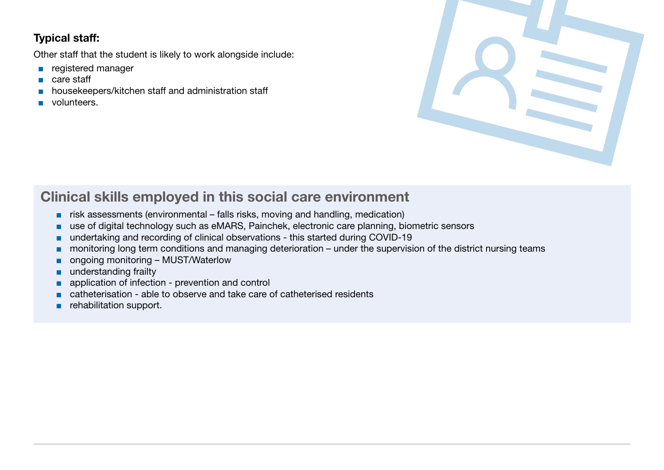### Typical staff:

Other staff that the student is likely to work alongside include:

- registered manager
- care staff
- housekeepers/kitchen staff and administration staff
- volunteers.



## Clinical skills employed in this social care environment

- risk assessments (environmental falls risks, moving and handling, medication)
- use of digital technology such as eMARS, Painchek, electronic care planning, biometric sensors
- undertaking and recording of clinical observations this started during COVID-19
- monitoring long term conditions and managing deterioration under the supervision of the district nursing teams
- ongoing monitoring MUST/Waterlow
- understanding frailty
- application of infection prevention and control
- catheterisation able to observe and take care of catheterised residents
- rehabilitation support.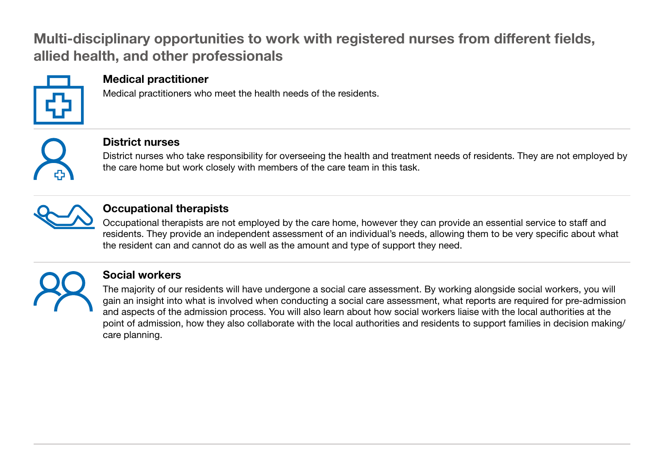## Multi-disciplinary opportunities to work with registered nurses from different fields, allied health, and other professionals



### Medical practitioner

Medical practitioners who meet the health needs of the residents.



### District nurses

District nurses who take responsibility for overseeing the health and treatment needs of residents. They are not employed by the care home but work closely with members of the care team in this task.



### Occupational therapists

Occupational therapists are not employed by the care home, however they can provide an essential service to staff and residents. They provide an independent assessment of an individual's needs, allowing them to be very specific about what the resident can and cannot do as well as the amount and type of support they need.



## Social workers

The majority of our residents will have undergone a social care assessment. By working alongside social workers, you will gain an insight into what is involved when conducting a social care assessment, what reports are required for pre-admission and aspects of the admission process. You will also learn about how social workers liaise with the local authorities at the point of admission, how they also collaborate with the local authorities and residents to support families in decision making/ care planning.